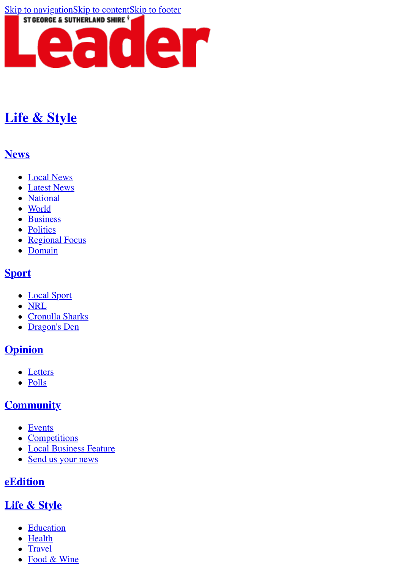

# **[Life & Style](http://www.theleader.com.au/life-style/)**

### <span id="page-0-0"></span>**[News](http://www.theleader.com.au/news/)**

- [Local News](http://www.theleader.com.au/news/local-news/)
- [Latest News](http://www.theleader.com.au/news/latest-news/)
- [National](http://www.theleader.com.au/news/national/)
- [World](http://www.theleader.com.au/news/world/)
- [Business](http://www.theleader.com.au/news/business/)
- [Politics](http://www.theleader.com.au/news/politics/)
- [Regional Focus](http://www.theleader.com.au/news/regional-focus/)
- [Domain](http://www.theleader.com.au/news/property/)

## **[Sport](http://www.theleader.com.au/sport/)**

- [Local Sport](http://www.theleader.com.au/sport/local-sport/)
- [NRL](http://www.theleader.com.au/sport/nrl/)
- [Cronulla Sharks](http://www.theleader.com.au/sport/cronulla-sharks/)
- [Dragon's Den](http://www.theleader.com.au/sport/dragons-den/)

## **[Opinion](http://www.theleader.com.au/opinion/)**

- [Letters](http://www.theleader.com.au/opinion/letters/)
- [Polls](http://www.theleader.com.au/opinion/polls/)

## **[Community](http://www.theleader.com.au/community/)**

- [Events](http://www.theleader.com.au/community/events/)
- [Competitions](http://www.theleader.com.au/community/competitions/)
- [Local Business Feature](http://www.theleader.com.au/community/business-feature/)
- [Send us your news](http://www.theleader.com.au/community/forms/)

## **[eEdition](http://www.theleader.com.au/community/eedition/)**

## **[Life & Style](http://www.theleader.com.au/life-style/)**

- [Education](http://www.theleader.com.au/life-style/education/)
- [Health](http://www.theleader.com.au/life-style/health/)
- [Travel](http://www.theleader.com.au/life-style/travel/)
- [Food & Wine](http://www.theleader.com.au/life-style/food-wine/)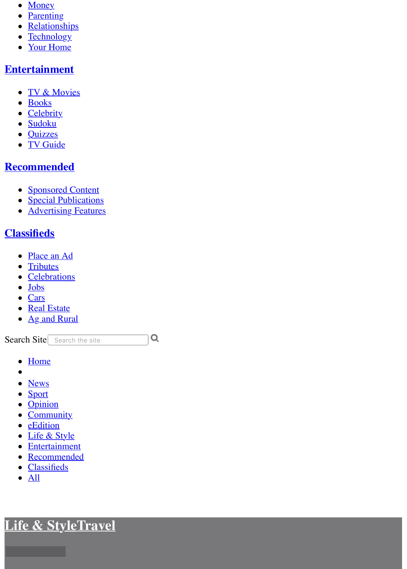- [Money](http://www.theleader.com.au/life-style/money/)
- <u>[Parenting](http://www.theleader.com.au/life-style/parenting/)</u>
- **[Relationships](http://www.theleader.com.au/life-style/relationships/)**  $\bullet$
- **[Technology](http://www.theleader.com.au/life-style/technology/)**  $\bullet$
- [Your Home](http://www.theleader.com.au/life-style/your-home/)  $\bullet$

## **[Entertainment](http://www.theleader.com.au/entertainment/)**

- [TV & Movies](http://www.theleader.com.au/entertainment/tv-movies/)
- [Books](http://www.theleader.com.au/entertainment/books/)
- [Celebrity](http://www.theleader.com.au/entertainment/celebrity/)
- [Sudoku](http://www.theleader.com.au/entertainment/sudoku/)
- [Quizzes](http://www.theleader.com.au/entertainment/quizzes-puzzles/)
- [TV Guide](http://www.theleader.com.au/entertainment/tv-guide/)

## **[Recommended](http://www.theleader.com.au/business-feature/)**

- [Sponsored Content](http://www.theleader.com.au/recommended/)
- [Special Publications](http://www.theleader.com.au/special-publications/)
- **[Advertising Features](http://www.theleader.com.au/advertising-feature/)**

## **[Classifieds](http://www.theleader.com.au/classifieds/notices/)**

- [Place an Ad](http://advertisers.com.au/?pub=LSG)
- [Tributes](http://www.legacy.com/obituaries/theleader-au/)
- [Celebrations](http://www.legacy.com/celebration/theleader-au/)
- [Jobs](http://www.theleader.com.au/jobs/)
- [Cars](http://www.countrycars.com.au/)
- [Real Estate](https://www.domain.com.au/sale/sutherland-nsw-2232/)
- [Ag and Rural](https://www.agtrader.com.au/search/nsw--sydney-region?utm_source=theleader.com.au&utm_medium=classifieds&utm_campaign=regionals)

Search Site Search the site

 $\overline{Q}$ 

- [Home](http://www.theleader.com.au/)
- 
- [News](http://www.theleader.com.au/news/)
- [Sport](http://www.theleader.com.au/sport/)
- [Opinion](http://www.theleader.com.au/opinion/)
- [Community](http://www.theleader.com.au/community/)
- **[eEdition](http://www.theleader.com.au/community/eedition/)**
- [Life & Style](http://www.theleader.com.au/life-style/)
- [Entertainment](http://www.theleader.com.au/entertainment/)
- · [Recommended](http://www.theleader.com.au/business-feature/)
- [Classifieds](http://www.theleader.com.au/classifieds/notices/)
- $\bullet$  [All](http://www.theleader.com.au/story/3127752/top-10-most-creative-holiday-lessons/?cs=34#)

**[Life & Style](http://www.theleader.com.au/life-style/)[Travel](http://www.theleader.com.au/life-style/travel/)**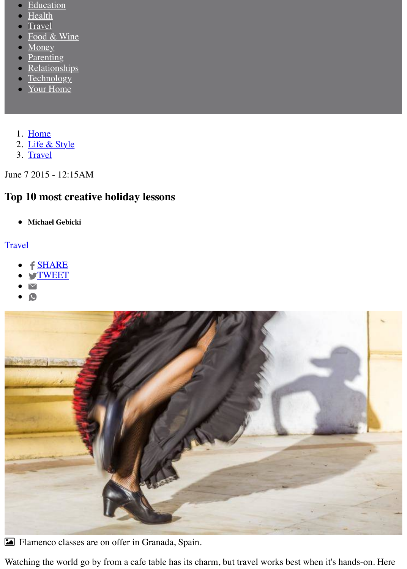- **[Education](http://www.theleader.com.au/life-style/education/)**
- **[Health](http://www.theleader.com.au/life-style/health/)**
- **[Travel](http://www.theleader.com.au/life-style/travel/)**
- [Food & Wine](http://www.theleader.com.au/life-style/food-wine/)
- **[Money](http://www.theleader.com.au/life-style/money/)**  $\bullet$
- **[Parenting](http://www.theleader.com.au/life-style/parenting/)**  $\bullet$
- [Relationships](http://www.theleader.com.au/life-style/relationships/)  $\bullet$
- **[Technology](http://www.theleader.com.au/life-style/technology/)**  $\bullet$
- [Your Home](http://www.theleader.com.au/life-style/your-home/)
- 1. [Home](http://www.theleader.com.au/)
- 2. [Life & Style](http://www.theleader.com.au/life-style/)
- 3. [Travel](http://www.theleader.com.au/life-style/travel/)

June 7 2015 - 12:15AM

## **Top 10 most creative holiday lessons**

**Michael Gebicki**  $\bullet$ 

## **[Travel](http://www.theleader.com.au/life-style/travel/)**

- [SHARE](https://www.facebook.com/sharer/sharer.php?u=http://www.theleader.com.au/story/3127752/top-10-most-creative-holiday-lessons/?cs=34)
- **S[TWEET](http://twitter.com/share?url=http://www.theleader.com.au/story/3127752/top-10-most-creative-holiday-lessons/?cs=34&text=Top%2010%20most%20creative%20holiday%20lessons&via=theleadernews)**
- $\blacktriangledown$
- $\bullet$



! Flamenco classes are on offer in Granada, Spain.

Watching the world go by from a cafe table has its charm, but travel works best when it's hands-on. Here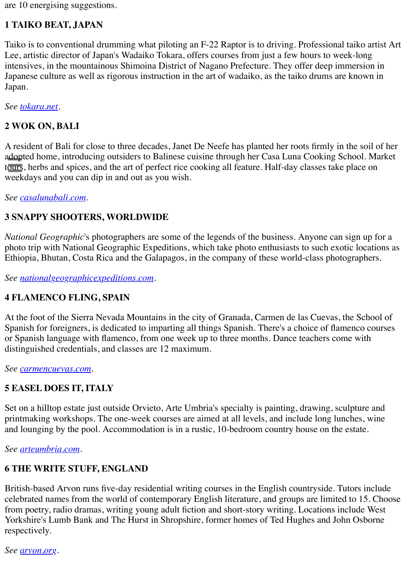are 10 energising suggestions.

#### **1 TAIKO BEAT, JAPAN**

Taiko is to conventional drumming what piloting an F-22 Raptor is to driving. Professional taiko artist Art Lee, artistic director of Japan's Wadaiko Tokara, offers courses from just a few hours to week-long intensives, in the mountainous Shimoina District of Nagano Prefecture. They offer deep immersion in Japanese culture as well as rigorous instruction in the art of wadaiko, as the taiko drums are known in Japan.

*See [tokara.net.](http://tokara.net/)*

#### **2 WOK ON, BALI**

A resident of Bali for close to three decades, Janet De Neefe has planted her roots firmly in the soil of her adopted home, introducing outsiders to Balinese cuisine through her Casa Luna Cooking School. Market tours, herbs and spices, and the art of perfect rice cooking all feature. Half-day classes take place on weekdays and you can dip in and out as you wish.

*See [casalunabali.com.](http://casalunabali.com/)*

#### **3 SNAPPY SHOOTERS, WORLDWIDE**

*National Geographic*'s photographers are some of the legends of the business. Anyone can sign up for a photo trip with National Geographic Expeditions, which take photo enthusiasts to such exotic locations as Ethiopia, Bhutan, Costa Rica and the Galapagos, in the company of these world-class photographers.

*See [nationalgeographicexpeditions.com.](http://nationalgeographicexpeditions.com/)*

#### **4 FLAMENCO FLING, SPAIN**

At the foot of the Sierra Nevada Mountains in the city of Granada, Carmen de las Cuevas, the School of Spanish for foreigners, is dedicated to imparting all things Spanish. There's a choice of flamenco courses or Spanish language with flamenco, from one week up to three months. Dance teachers come with distinguished credentials, and classes are 12 maximum.

*See [carmencuevas.com](http://carmencuevas.com/).*

#### **5 EASEL DOES IT, ITALY**

Set on a hilltop estate just outside Orvieto, Arte Umbria's specialty is painting, drawing, sculpture and printmaking workshops. The one-week courses are aimed at all levels, and include long lunches, wine and lounging by the pool. Accommodation is in a rustic, 10-bedroom country house on the estate.

*See [arteumbria.com.](http://arteumbria.com/)*

## **6 THE WRITE STUFF, ENGLAND**

British-based Arvon runs five-day residential writing courses in the English countryside. Tutors include celebrated names from the world of contemporary English literature, and groups are limited to 15. Choose from poetry, radio dramas, writing young adult fiction and short-story writing. Locations include West Yorkshire's Lumb Bank and The Hurst in Shropshire, former homes of Ted Hughes and John Osborne respectively.

*See [arvon.org](http://arvon.org/).*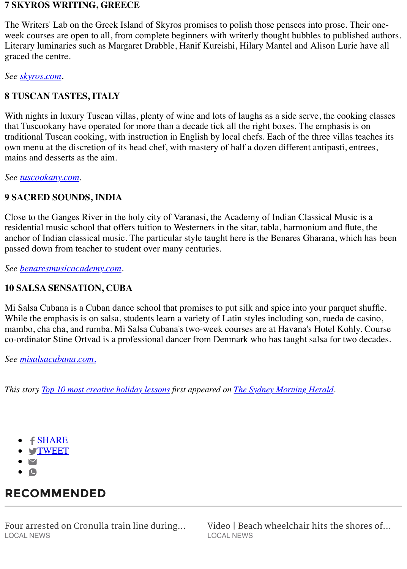#### **7 SKYROS WRITING, GREECE**

The Writers' Lab on the Greek Island of Skyros promises to polish those pensees into prose. Their oneweek courses are open to all, from complete beginners with writerly thought bubbles to published authors. Literary luminaries such as Margaret Drabble, Hanif Kureishi, Hilary Mantel and Alison Lurie have all graced the centre.

*See [skyros.com](http://skyros.com/).*

#### **8 TUSCAN TASTES, ITALY**

With nights in luxury Tuscan villas, plenty of wine and lots of laughs as a side serve, the cooking classes that Tuscookany have operated for more than a decade tick all the right boxes. The emphasis is on traditional Tuscan cooking, with instruction in English by local chefs. Each of the three villas teaches its own menu at the discretion of its head chef, with mastery of half a dozen different antipasti, entrees, mains and desserts as the aim.

*See [tuscookany.com.](http://tuscookany.com/)*

#### **9 SACRED SOUNDS, INDIA**

Close to the Ganges River in the holy city of Varanasi, the Academy of Indian Classical Music is a residential music school that offers tuition to Westerners in the sitar, tabla, harmonium and flute, the anchor of Indian classical music. The particular style taught here is the Benares Gharana, which has been passed down from teacher to student over many centuries.

*See [benaresmusicacademy.com](http://benaresmusicacademy.com/).*

#### **10 SALSA SENSATION, CUBA**

Mi Salsa Cubana is a Cuban dance school that promises to put silk and spice into your parquet shuffle. While the emphasis is on salsa, students learn a variety of Latin styles including son, rueda de casino, mambo, cha cha, and rumba. Mi Salsa Cubana's two-week courses are at Havana's Hotel Kohly. Course co-ordinator Stine Ortvad is a professional dancer from Denmark who has taught salsa for two decades.

*See [misalsacubana.com.](http://misalsacubana.com./)*

*This story [Top 10 most creative holiday lessons](http://www.smh.com.au/travel/top-10-most-creative-holiday-lessons-20150601-gh6brb.html) first appeared on [The Sydney Morning Herald](http://www.smh.com.au/).*

- f [SHARE](https://www.facebook.com/sharer/sharer.php?u=http://www.theleader.com.au/story/3127752/top-10-most-creative-holiday-lessons/?cs=34)
- **.** S[TWEET](http://twitter.com/share?url=http://www.theleader.com.au/story/3127752/top-10-most-creative-holiday-lessons/?cs=34&text=Top%2010%20most%20creative%20holiday%20lessons&via=theleadernews)
- $\triangledown$
- C

## **RECOMMENDED**

[Four arrested on Cronulla train line during...](http://www.theleader.com.au/story/5199823/four-arrested-on-cronulla-train-line-during-police-blitz/?cs=1507) LOCAL NEWS

[Video | Beach wheelchair hits the shores of...](http://www.theleader.com.au/story/5219815/video-beach-wheelchair-hits-the-shores-of-sutherland-shire/?cs=1507) LOCAL NEWS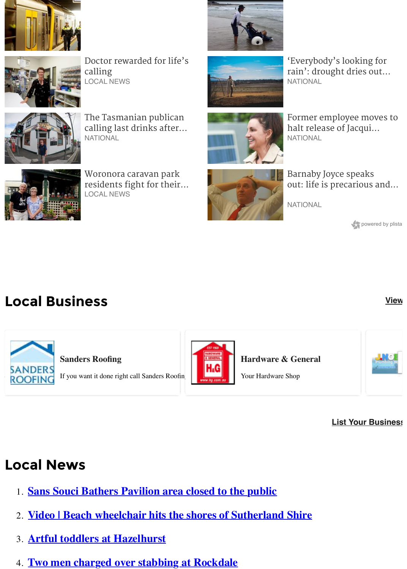



[Doctor rewarded for life's](http://www.theleader.com.au/story/5215966/doctor-rewarded-for-lifes-calling/?cs=1507) calling LOCAL NEWS



The Tasmanian publican [calling last drinks after...](http://www.theleader.com.au/story/5220832/the-tasmanian-publican-calling-last-drinks-after-41-years/?cs=7) **NATIONAL** 



Woronora caravan park [residents fight for their...](http://www.theleader.com.au/story/5212640/woronora-caravan-park-residents-fight-for-their-homes/?cs=1507) LOCAL NEWS





'Everybody's looking for [rain': drought dries out...](http://www.theleader.com.au/story/5220306/everybodys-looking-for-rain-drought-dries-out-the-hunter/?cs=7) **NATIONAL** 



[Former employee moves to](http://www.theleader.com.au/story/5220318/former-employee-moves-to-halt-release-of-jacqui-lambies-book/?cs=7) halt release of Jacqui... **NATIONAL** 



Barnaby Joyce speaks [out: life is precarious and...](http://www.theleader.com.au/story/5220415/barnaby-joyce-speaks-out-life-is-precarious-and-rough-and-tumble/?cs=7)

**NATIONAL** 

powered by plista

# **Local Business [View](http://www.theleader.com.au/business/)**



**Sanders Roofing**

If you want it done right call Sanders Roofing



**Hardware & General**

Your Hardware Shop



#### **[List Your Business](http://www.theleader.com.au/advertise/)**

# **Local News**

- 1. **[Sans Souci Bathers Pavilion area closed to the public](http://www.theleader.com.au/story/5220749/sans-souci-bathers-pavilion-area-closed-to-the-public/?cs=1507)**
- 2. **[Video | Beach wheelchair hits the shores of Sutherland Shire](http://www.theleader.com.au/story/5219815/video-beach-wheelchair-hits-the-shores-of-sutherland-shire/?cs=1507)**
- 3. **[Artful toddlers at Hazelhurst](http://www.theleader.com.au/story/5219527/artful-toddlers-at-hazelhurst/?cs=1507)**
- 4. **[Two men charged over stabbing at Rockdale](http://www.theleader.com.au/story/5220573/two-men-charged-over-stabbing-at-rockdale/?cs=1507)**